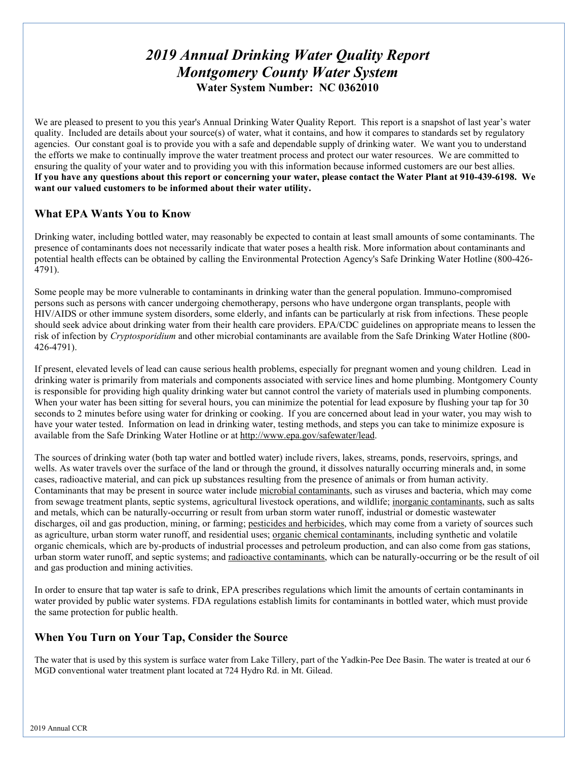# *2019 Annual Drinking Water Quality Report Montgomery County Water System*  **Water System Number: NC 0362010**

We are pleased to present to you this year's Annual Drinking Water Quality Report. This report is a snapshot of last year's water quality. Included are details about your source(s) of water, what it contains, and how it compares to standards set by regulatory agencies. Our constant goal is to provide you with a safe and dependable supply of drinking water. We want you to understand the efforts we make to continually improve the water treatment process and protect our water resources. We are committed to ensuring the quality of your water and to providing you with this information because informed customers are our best allies. **If you have any questions about this report or concerning your water, please contact the Water Plant at 910-439-6198. We want our valued customers to be informed about their water utility.** 

# **What EPA Wants You to Know**

Drinking water, including bottled water, may reasonably be expected to contain at least small amounts of some contaminants. The presence of contaminants does not necessarily indicate that water poses a health risk. More information about contaminants and potential health effects can be obtained by calling the Environmental Protection Agency's Safe Drinking Water Hotline (800-426- 4791).

Some people may be more vulnerable to contaminants in drinking water than the general population. Immuno-compromised persons such as persons with cancer undergoing chemotherapy, persons who have undergone organ transplants, people with HIV/AIDS or other immune system disorders, some elderly, and infants can be particularly at risk from infections. These people should seek advice about drinking water from their health care providers. EPA/CDC guidelines on appropriate means to lessen the risk of infection by *Cryptosporidium* and other microbial contaminants are available from the Safe Drinking Water Hotline (800- 426-4791).

If present, elevated levels of lead can cause serious health problems, especially for pregnant women and young children. Lead in drinking water is primarily from materials and components associated with service lines and home plumbing. Montgomery County is responsible for providing high quality drinking water but cannot control the variety of materials used in plumbing components. When your water has been sitting for several hours, you can minimize the potential for lead exposure by flushing your tap for 30 seconds to 2 minutes before using water for drinking or cooking. If you are concerned about lead in your water, you may wish to have your water tested. Information on lead in drinking water, testing methods, and steps you can take to minimize exposure is available from the Safe Drinking Water Hotline or at [http://www.epa.gov/safewater/lead.](http://www.epa.gov/safewater/lead)

The sources of drinking water (both tap water and bottled water) include rivers, lakes, streams, ponds, reservoirs, springs, and wells. As water travels over the surface of the land or through the ground, it dissolves naturally occurring minerals and, in some cases, radioactive material, and can pick up substances resulting from the presence of animals or from human activity. Contaminants that may be present in source water include microbial contaminants, such as viruses and bacteria, which may come from sewage treatment plants, septic systems, agricultural livestock operations, and wildlife; inorganic contaminants, such as salts and metals, which can be naturally-occurring or result from urban storm water runoff, industrial or domestic wastewater discharges, oil and gas production, mining, or farming; pesticides and herbicides, which may come from a variety of sources such as agriculture, urban storm water runoff, and residential uses; organic chemical contaminants, including synthetic and volatile organic chemicals, which are by-products of industrial processes and petroleum production, and can also come from gas stations, urban storm water runoff, and septic systems; and radioactive contaminants, which can be naturally-occurring or be the result of oil and gas production and mining activities.

In order to ensure that tap water is safe to drink, EPA prescribes regulations which limit the amounts of certain contaminants in water provided by public water systems. FDA regulations establish limits for contaminants in bottled water, which must provide the same protection for public health.

# **When You Turn on Your Tap, Consider the Source**

The water that is used by this system is surface water from Lake Tillery, part of the Yadkin-Pee Dee Basin. The water is treated at our 6 MGD conventional water treatment plant located at 724 Hydro Rd. in Mt. Gilead.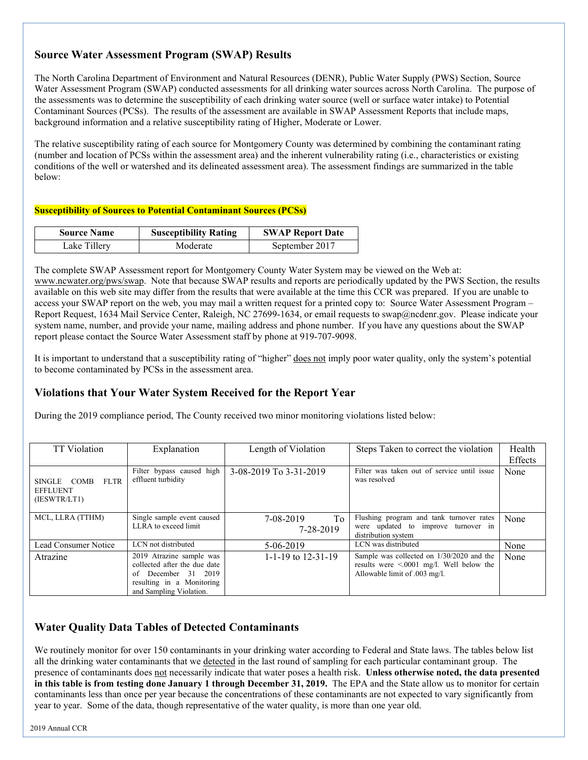# **Source Water Assessment Program (SWAP) Results**

The North Carolina Department of Environment and Natural Resources (DENR), Public Water Supply (PWS) Section, Source Water Assessment Program (SWAP) conducted assessments for all drinking water sources across North Carolina. The purpose of the assessments was to determine the susceptibility of each drinking water source (well or surface water intake) to Potential Contaminant Sources (PCSs). The results of the assessment are available in SWAP Assessment Reports that include maps, background information and a relative susceptibility rating of Higher, Moderate or Lower.

The relative susceptibility rating of each source for Montgomery County was determined by combining the contaminant rating (number and location of PCSs within the assessment area) and the inherent vulnerability rating (i.e., characteristics or existing conditions of the well or watershed and its delineated assessment area). The assessment findings are summarized in the table below:

#### **Susceptibility of Sources to Potential Contaminant Sources (PCSs)**

| <b>Source Name</b> | <b>Susceptibility Rating</b> | <b>SWAP Report Date</b> |
|--------------------|------------------------------|-------------------------|
| Lake Tillery       | Moderate                     | September 2017          |

The complete SWAP Assessment report for Montgomery County Water System may be viewed on the Web at: [www.ncwater.org/pws/swap.](http://www.ncwater.org/pws/swap) Note that because SWAP results and reports are periodically updated by the PWS Section, the results available on this web site may differ from the results that were available at the time this CCR was prepared. If you are unable to access your SWAP report on the web, you may mail a written request for a printed copy to: Source Water Assessment Program – Report Request, 1634 Mail Service Center, Raleigh, NC 27699-1634, or email requests to swap@ncdenr.gov. Please indicate your system name, number, and provide your name, mailing address and phone number. If you have any questions about the SWAP report please contact the Source Water Assessment staff by phone at 919-707-9098.

It is important to understand that a susceptibility rating of "higher" does not imply poor water quality, only the system's potential to become contaminated by PCSs in the assessment area.

# **Violations that Your Water System Received for the Report Year**

During the 2019 compliance period, The County received two minor monitoring violations listed below:

| <b>TT</b> Violation                                           | Explanation                                                                                                                                | Length of Violation          | Steps Taken to correct the violation                                                                                         | Health<br>Effects |
|---------------------------------------------------------------|--------------------------------------------------------------------------------------------------------------------------------------------|------------------------------|------------------------------------------------------------------------------------------------------------------------------|-------------------|
| <b>FLTR</b><br>SINGLE COMB<br><b>EFFLUENT</b><br>(IESWTR/LT1) | Filter bypass caused high<br>effluent turbidity                                                                                            | 3-08-2019 To 3-31-2019       | Filter was taken out of service until issue<br>was resolved                                                                  | None              |
| MCL, LLRA (TTHM)                                              | Single sample event caused<br>LLRA to exceed limit                                                                                         | To<br>7-08-2019<br>7-28-2019 | Flushing program and tank turnover rates<br>were updated to improve turnover in<br>distribution system                       | None              |
| Lead Consumer Notice                                          | LCN not distributed                                                                                                                        | 5-06-2019                    | LCN was distributed                                                                                                          | None              |
| Atrazine                                                      | 2019 Atrazine sample was<br>collected after the due date<br>December 31 2019<br>of<br>resulting in a Monitoring<br>and Sampling Violation. | 1-1-19 to $12-31-19$         | Sample was collected on 1/30/2020 and the<br>results were $\leq 0.001$ mg/l. Well below the<br>Allowable limit of .003 mg/l. | None              |

# **Water Quality Data Tables of Detected Contaminants**

We routinely monitor for over 150 contaminants in your drinking water according to Federal and State laws. The tables below list all the drinking water contaminants that we detected in the last round of sampling for each particular contaminant group. The presence of contaminants does not necessarily indicate that water poses a health risk. **Unless otherwise noted, the data presented in this table is from testing done January 1 through December 31, 2019.** The EPA and the State allow us to monitor for certain contaminants less than once per year because the concentrations of these contaminants are not expected to vary significantly from year to year. Some of the data, though representative of the water quality, is more than one year old.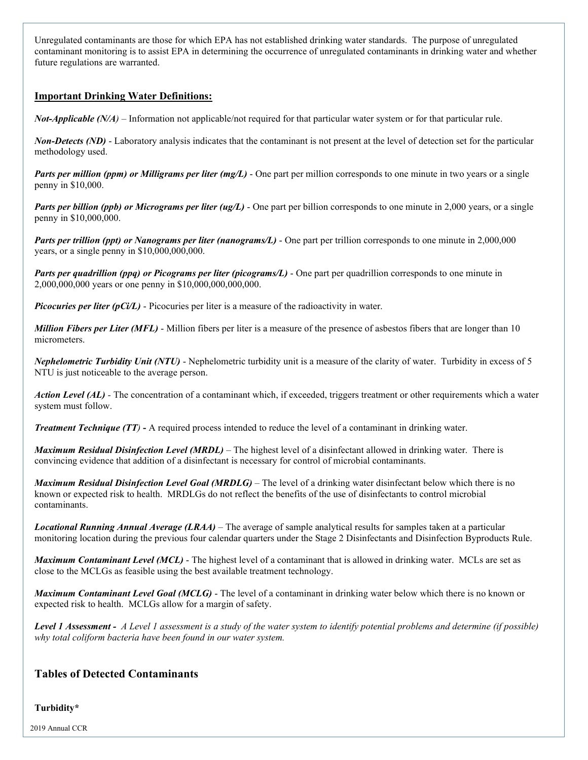Unregulated contaminants are those for which EPA has not established drinking water standards. The purpose of unregulated contaminant monitoring is to assist EPA in determining the occurrence of unregulated contaminants in drinking water and whether future regulations are warranted.

### **Important Drinking Water Definitions:**

*Not-Applicable (N/A*) – Information not applicable/not required for that particular water system or for that particular rule.

*Non-Detects (ND)* - Laboratory analysis indicates that the contaminant is not present at the level of detection set for the particular methodology used.

*Parts per million (ppm) or Milligrams per liter (mg/L)* - One part per million corresponds to one minute in two years or a single penny in \$10,000.

*Parts per billion (ppb) or Micrograms per liter (ug/L)* - One part per billion corresponds to one minute in 2,000 years, or a single penny in \$10,000,000.

*Parts per trillion (ppt) or Nanograms per liter (nanograms/L)* - One part per trillion corresponds to one minute in 2,000,000 years, or a single penny in \$10,000,000,000.

*Parts per quadrillion (ppq) or Picograms per liter (picograms/L)* - One part per quadrillion corresponds to one minute in 2,000,000,000 years or one penny in \$10,000,000,000,000.

*Picocuries per liter (pCi/L)* - Picocuries per liter is a measure of the radioactivity in water.

*Million Fibers per Liter (MFL)* - Million fibers per liter is a measure of the presence of asbestos fibers that are longer than 10 micrometers.

*Nephelometric Turbidity Unit (NTU)* - Nephelometric turbidity unit is a measure of the clarity of water. Turbidity in excess of 5 NTU is just noticeable to the average person.

*Action Level (AL) -* The concentration of a contaminant which, if exceeded, triggers treatment or other requirements which a water system must follow.

*Treatment Technique (TT)* **-** A required process intended to reduce the level of a contaminant in drinking water.

*Maximum Residual Disinfection Level (MRDL)* – The highest level of a disinfectant allowed in drinking water. There is convincing evidence that addition of a disinfectant is necessary for control of microbial contaminants.

*Maximum Residual Disinfection Level Goal (MRDLG)* – The level of a drinking water disinfectant below which there is no known or expected risk to health. MRDLGs do not reflect the benefits of the use of disinfectants to control microbial contaminants.

*Locational Running Annual Average (LRAA)* – The average of sample analytical results for samples taken at a particular monitoring location during the previous four calendar quarters under the Stage 2 Disinfectants and Disinfection Byproducts Rule.

*Maximum Contaminant Level (MCL)* - The highest level of a contaminant that is allowed in drinking water. MCLs are set as close to the MCLGs as feasible using the best available treatment technology.

*Maximum Contaminant Level Goal (MCLG)* - The level of a contaminant in drinking water below which there is no known or expected risk to health. MCLGs allow for a margin of safety.

*Level 1 Assessment - A Level 1 assessment is a study of the water system to identify potential problems and determine (if possible) why total coliform bacteria have been found in our water system.*

### **Tables of Detected Contaminants**

#### **Turbidity\***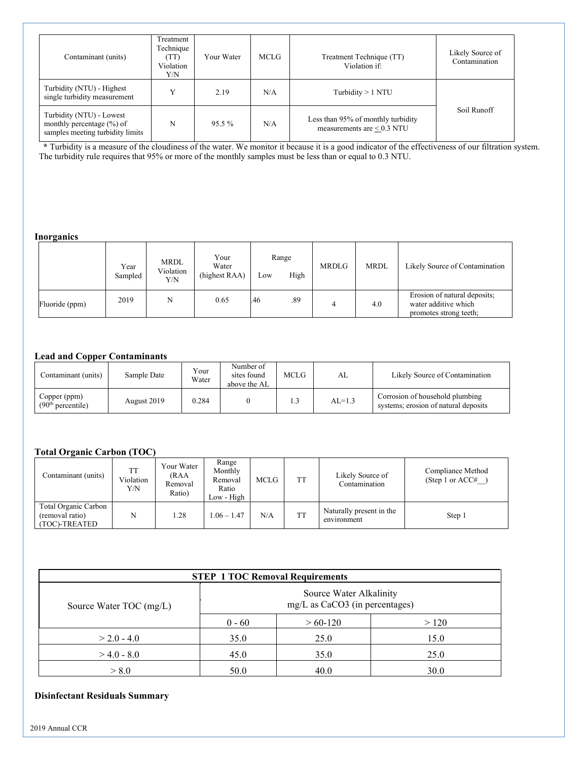| Contaminant (units)                                                                       | Treatment<br>Technique<br>(TT)<br>Violation<br>Y/N | Your Water | MCLG                                                                         | Treatment Technique (TT)<br>Violation if: | Likely Source of<br>Contamination |  |
|-------------------------------------------------------------------------------------------|----------------------------------------------------|------------|------------------------------------------------------------------------------|-------------------------------------------|-----------------------------------|--|
| Turbidity (NTU) - Highest<br>single turbidity measurement                                 | $\mathbf{v}$                                       | 2.19       | N/A                                                                          | Turbidity $> 1$ NTU                       |                                   |  |
| Turbidity (NTU) - Lowest<br>monthly percentage (%) of<br>samples meeting turbidity limits | N                                                  | $95.5\%$   | Less than 95% of monthly turbidity<br>N/A<br>measurements are $\leq 0.3$ NTU |                                           | Soil Runoff                       |  |

 **\*** Turbidity is a measure of the cloudiness of the water. We monitor it because it is a good indicator of the effectiveness of our filtration system. The turbidity rule requires that 95% or more of the monthly samples must be less than or equal to 0.3 NTU.

#### **Inorganics**

| $\overline{\phantom{a}}$ | Year<br>Sampled | MRDL<br>Violation<br>Y/N | Your<br>Water<br>(highest RAA) | LOW | Range<br>High | <b>MRDLG</b> | <b>MRDL</b> | Likely Source of Contamination                                                 |
|--------------------------|-----------------|--------------------------|--------------------------------|-----|---------------|--------------|-------------|--------------------------------------------------------------------------------|
| Fluoride (ppm)           | 2019            | N                        | 0.65                           | .46 | .89           |              | 4.0         | Erosion of natural deposits;<br>water additive which<br>promotes strong teeth; |

#### **Lead and Copper Contaminants**

| Contaminant (units)                           | Sample Date | Your<br>Water | Number of<br>sites found<br>above the AL | MCLG | AL       | Likely Source of Contamination                                          |
|-----------------------------------------------|-------------|---------------|------------------------------------------|------|----------|-------------------------------------------------------------------------|
| Copper (ppm)<br>(90 <sup>th</sup> percentile) | August 2019 | 0.284         |                                          | L.3  | $AL=1.3$ | Corrosion of household plumbing<br>systems; erosion of natural deposits |

#### **Total Organic Carbon (TOC)**

| Contaminant (units)                                      | <b>TT</b><br>Violation<br>Y/N | Your Water<br>(RAA<br>Removal<br>Ratio) | Range<br>Monthly<br>Removal<br>Ratio<br>Low - High | <b>MCLG</b> | ТT        | Likely Source of<br>Contamination       | Compliance Method<br>(Step 1 or $ACC#$ |
|----------------------------------------------------------|-------------------------------|-----------------------------------------|----------------------------------------------------|-------------|-----------|-----------------------------------------|----------------------------------------|
| Total Organic Carbon<br>(removal ratio)<br>(TOC)-TREATED | N                             | 1.28                                    | $1.06 - 1.47$                                      | N/A         | <b>TT</b> | Naturally present in the<br>environment | Step 1                                 |

| <b>STEP 1 TOC Removal Requirements</b> |                                                             |              |      |  |  |  |  |
|----------------------------------------|-------------------------------------------------------------|--------------|------|--|--|--|--|
| Source Water TOC (mg/L)                | Source Water Alkalinity<br>$mg/L$ as CaCO3 (in percentages) |              |      |  |  |  |  |
|                                        | $0 - 60$                                                    | $> 60 - 120$ | >120 |  |  |  |  |
| $> 2.0 - 4.0$                          | 35.0                                                        | 25.0         | 15.0 |  |  |  |  |
| $>4.0 - 8.0$                           | 45.0                                                        | 35.0         | 25.0 |  |  |  |  |
| > 8.0                                  | 50.0                                                        | 40.0         | 30.0 |  |  |  |  |

### **Disinfectant Residuals Summary**